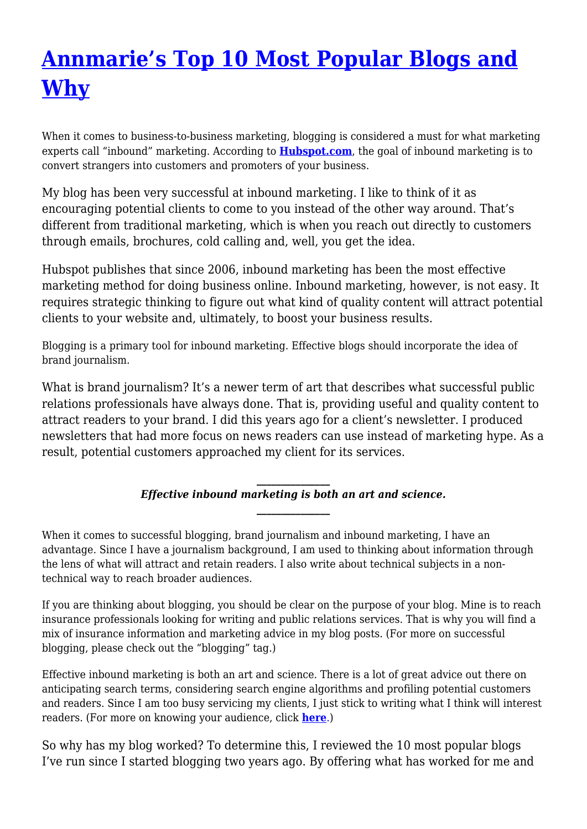# **[Annmarie's Top 10 Most Popular Blogs and](https://insurancecommunicators.com/annmaries-top-10-most-popular-blogs-and-why/) [Why](https://insurancecommunicators.com/annmaries-top-10-most-popular-blogs-and-why/)**

When it comes to business-to-business marketing, blogging is considered a must for what marketing experts call "inbound" marketing. According to **[Hubspot.com](http://www.hubspot.com)**, the goal of inbound marketing is to convert strangers into customers and promoters of your business.

My blog has been very successful at inbound marketing. I like to think of it as encouraging potential clients to come to you instead of the other way around. That's different from traditional marketing, which is when you reach out directly to customers through emails, brochures, cold calling and, well, you get the idea.

Hubspot publishes that since 2006, inbound marketing has been the most effective marketing method for doing business online. Inbound marketing, however, is not easy. It requires strategic thinking to figure out what kind of quality content will attract potential clients to your website and, ultimately, to boost your business results.

Blogging is a primary tool for inbound marketing. Effective blogs should incorporate the idea of brand journalism.

What is brand journalism? It's a newer term of art that describes what successful public relations professionals have always done. That is, providing useful and quality content to attract readers to your brand. I did this years ago for a client's newsletter. I produced newsletters that had more focus on news readers can use instead of marketing hype. As a result, potential customers approached my client for its services.

#### *\_\_\_\_\_\_\_\_\_\_\_\_\_\_\_ Effective inbound marketing is both an art and science. \_\_\_\_\_\_\_\_\_\_\_\_\_\_\_*

When it comes to successful blogging, brand journalism and inbound marketing, I have an advantage. Since I have a journalism background, I am used to thinking about information through the lens of what will attract and retain readers. I also write about technical subjects in a nontechnical way to reach broader audiences.

If you are thinking about blogging, you should be clear on the purpose of your blog. Mine is to reach insurance professionals looking for writing and public relations services. That is why you will find a mix of insurance information and marketing advice in my blog posts. (For more on successful blogging, please check out the "blogging" tag.)

Effective inbound marketing is both an art and science. There is a lot of great advice out there on anticipating search terms, considering search engine algorithms and profiling potential customers and readers. Since I am too busy servicing my clients, I just stick to writing what I think will interest readers. (For more on knowing your audience, click **[here](http://annmariecommunicatesinsurance.wordpress.com/2012/01/10/annmaries-top-five-biggest-marketing-mistakes-part-1/)**.)

So why has my blog worked? To determine this, I reviewed the 10 most popular blogs I've run since I started blogging two years ago. By offering what has worked for me and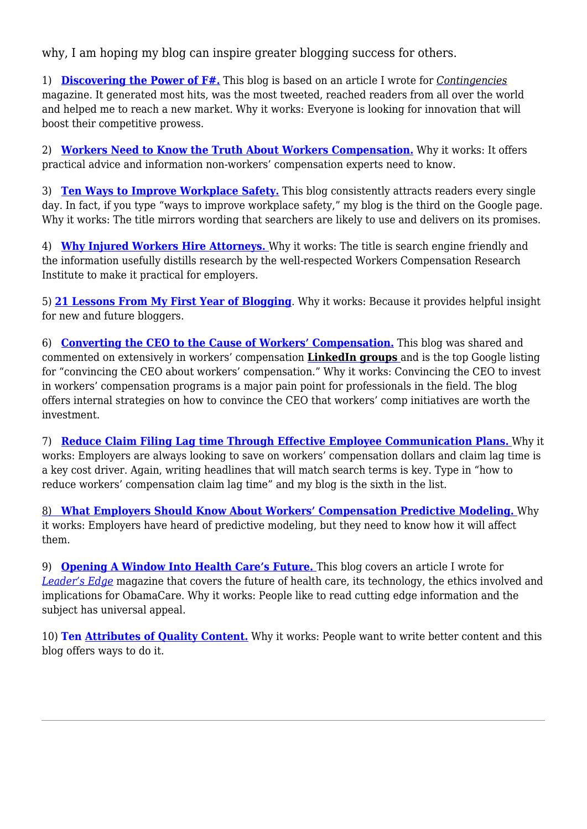why, I am hoping my blog can inspire greater blogging success for others.

1) **[Discovering the Power of F#.](http://annmariecommunicatesinsurance.wordpress.com/2013/11/01/discovering-the-power-of-f/)** This blog is based on an article I wrote for *[Contingencies](http://www.contingencies.org)* magazine. It generated most hits, was the most tweeted, reached readers from all over the world and helped me to reach a new market. Why it works: Everyone is looking for innovation that will boost their competitive prowess.

2) **[Workers Need to Know the Truth About Workers Compensation.](http://annmariecommunicatesinsurance.wordpress.com/2012/11/13/workers-need-to-know-the-real-truth-about-workers-compensation-part-1/)** Why it works: It offers practical advice and information non-workers' compensation experts need to know.

3) **[Ten Ways to Improve Workplace Safety.](http://annmariecommunicatesinsurance.wordpress.com/2013/09/09/ten-ways-to-improve-workplace-safety/)** This blog consistently attracts readers every single day. In fact, if you type "ways to improve workplace safety," my blog is the third on the Google page. Why it works: The title mirrors wording that searchers are likely to use and delivers on its promises.

4) **[Why Injured Workers Hire Attorneys.](http://annmariecommunicatesinsurance.wordpress.com/2012/09/18/why-injured-workers-hire-attorneys-and-what-employers-can-do-about-it/)** Why it works: The title is search engine friendly and the information usefully distills research by the well-respected Workers Compensation Research Institute to make it practical for employers.

5) **[21 Lessons From My First Year of Blogging](http://annmariecommunicatesinsurance.wordpress.com/2012/10/23/21-lessons-learned-from-my-first-year-of-blogging-part-1/)**. Why it works: Because it provides helpful insight for new and future bloggers.

6) **[Converting the CEO to the Cause of Workers' Compensation.](http://annmariecommunicatesinsurance.wordpress.com/2013/05/28/converting-the-ceo-to-the-cause-of-workers-compensation/)** This blog was shared and commented on extensively in workers' compensation **[LinkedIn](http://http://www.linkedin.com) [groups](http://http://www.linkedin.com)** and is the top Google listing for "convincing the CEO about workers' compensation." Why it works: Convincing the CEO to invest in workers' compensation programs is a major pain point for professionals in the field. The blog offers internal strategies on how to convince the CEO that workers' comp initiatives are worth the investment.

7) **[Reduce Claim Filing Lag time Through Effective Employee Communication Plans.](http://annmariecommunicatesinsurance.wordpress.com/2012/06/26/reduce-claim-filing-lag-time-through-effective-employee-communication-plans/)** Why it works: Employers are always looking to save on workers' compensation dollars and claim lag time is a key cost driver. Again, writing headlines that will match search terms is key. Type in "how to reduce workers' compensation claim lag time" and my blog is the sixth in the list.

[8\)](http://annmariecommunicatesinsurance.wordpress.com/2013/01/22/predictive-modeling-is-here-to-stay/) **[What Employers Should Know About Workers' Compensation Predictive Modeling.](http://annmariecommunicatesinsurance.wordpress.com/2013/01/22/predictive-modeling-is-here-to-stay/)** Why it works: Employers have heard of predictive modeling, but they need to know how it will affect them.

9) **[Opening A Window Into Health Care's Future.](http://annmariecommunicatesinsurance.wordpress.com/2013/05/01/opening-a-window-into-health-cares-future/)** This blog covers an article I wrote for *[Leader's Edge](http://http://leadersedgemagazine.com)* magazine that covers the future of health care, its technology, the ethics involved and implications for ObamaCare. Why it works: People like to read cutting edge information and the subject has universal appeal.

10) **Ten [Attributes of Quality Content.](http://annmariecommunicatesinsurance.wordpress.com/2013/07/12/ten-attributes-of-quality-content/)** Why it works: People want to write better content and this blog offers ways to do it.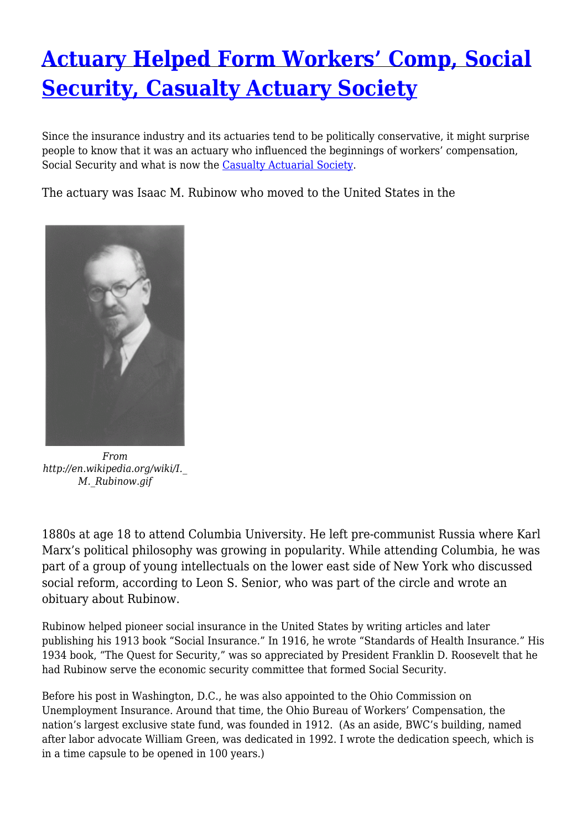## **[Actuary Helped Form Workers' Comp, Social](https://insurancecommunicators.com/actuary-helped-form-workers-comp-social-security-casualty-actuary-society/) [Security, Casualty Actuary Society](https://insurancecommunicators.com/actuary-helped-form-workers-comp-social-security-casualty-actuary-society/)**

Since the insurance industry and its actuaries tend to be politically conservative, it might surprise people to know that it was an actuary who influenced the beginnings of workers' compensation, Social Security and what is now the [Casualty Actuarial Society](http://http://www.casact.org).

The actuary was Isaac M. Rubinow who moved to the United States in the



*From http://en.wikipedia.org/wiki/I.\_ M.\_Rubinow.gif*

1880s at age 18 to attend Columbia University. He left pre-communist Russia where Karl Marx's political philosophy was growing in popularity. While attending Columbia, he was part of a group of young intellectuals on the lower east side of New York who discussed social reform, according to Leon S. Senior, who was part of the circle and wrote an obituary about Rubinow.

Rubinow helped pioneer social insurance in the United States by writing articles and later publishing his 1913 book "Social Insurance." In 1916, he wrote "Standards of Health Insurance." His 1934 book, "The Quest for Security," was so appreciated by President Franklin D. Roosevelt that he had Rubinow serve the economic security committee that formed Social Security.

Before his post in Washington, D.C., he was also appointed to the Ohio Commission on Unemployment Insurance. Around that time, the Ohio Bureau of Workers' Compensation, the nation's largest exclusive state fund, was founded in 1912. (As an aside, BWC's building, named after labor advocate William Green, was dedicated in 1992. I wrote the dedication speech, which is in a time capsule to be opened in 100 years.)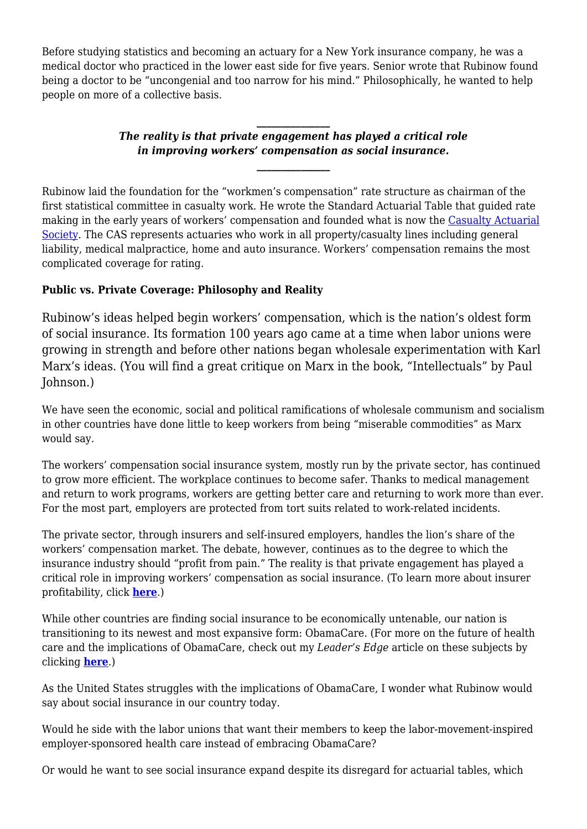Before studying statistics and becoming an actuary for a New York insurance company, he was a medical doctor who practiced in the lower east side for five years. Senior wrote that Rubinow found being a doctor to be "uncongenial and too narrow for his mind." Philosophically, he wanted to help people on more of a collective basis.

### *The reality is that private engagement has played a critical role in improving workers' compensation as social insurance.*

*\_\_\_\_\_\_\_\_\_\_\_\_\_\_\_*

*\_\_\_\_\_\_\_\_\_\_\_\_\_\_\_*

Rubinow laid the foundation for the "workmen's compensation" rate structure as chairman of the first statistical committee in casualty work. He wrote the Standard Actuarial Table that guided rate making in the early years of workers' compensation and founded what is now the [Casualty Actuarial](http://http://www.casact.org) [Society](http://http://www.casact.org). The CAS represents actuaries who work in all property/casualty lines including general liability, medical malpractice, home and auto insurance. Workers' compensation remains the most complicated coverage for rating.

### **Public vs. Private Coverage: Philosophy and Reality**

Rubinow's ideas helped begin workers' compensation, which is the nation's oldest form of social insurance. Its formation 100 years ago came at a time when labor unions were growing in strength and before other nations began wholesale experimentation with Karl Marx's ideas. (You will find a great critique on Marx in the book, "Intellectuals" by Paul Johnson.)

We have seen the economic, social and political ramifications of wholesale communism and socialism in other countries have done little to keep workers from being "miserable commodities" as Marx would say.

The workers' compensation social insurance system, mostly run by the private sector, has continued to grow more efficient. The workplace continues to become safer. Thanks to medical management and return to work programs, workers are getting better care and returning to work more than ever. For the most part, employers are protected from tort suits related to work-related incidents.

The private sector, through insurers and self-insured employers, handles the lion's share of the workers' compensation market. The debate, however, continues as to the degree to which the insurance industry should "profit from pain." The reality is that private engagement has played a critical role in improving workers' compensation as social insurance. (To learn more about insurer profitability, click **[here](http://annmariecommunicatesinsurance.wordpress.com/2013/11/22/workers-compensation-insurance-profitable-in-2012/)**.)

While other countries are finding social insurance to be economically untenable, our nation is transitioning to its newest and most expansive form: ObamaCare. (For more on the future of health care and the implications of ObamaCare, check out my *Leader's Edge* article on these subjects by clicking **[here](http://annmariecommunicatesinsurance.wordpress.com/2013/05/01/opening-a-window-into-health-cares-future/)**.)

As the United States struggles with the implications of ObamaCare, I wonder what Rubinow would say about social insurance in our country today.

Would he side with the labor unions that want their members to keep the labor-movement-inspired employer-sponsored health care instead of embracing ObamaCare?

Or would he want to see social insurance expand despite its disregard for actuarial tables, which